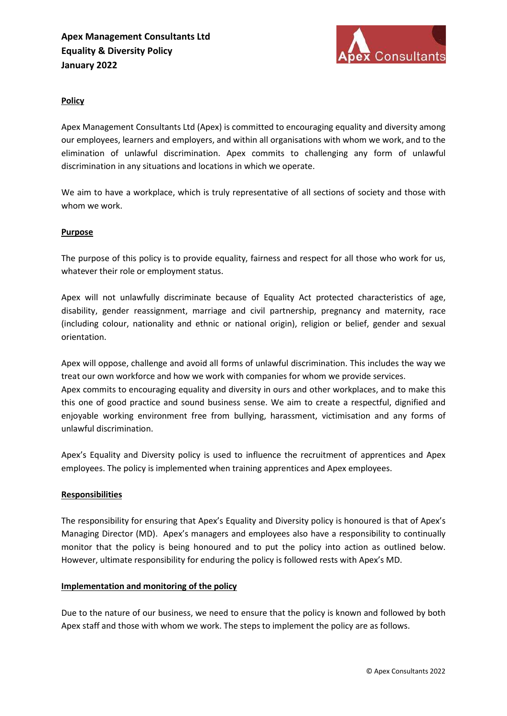

## Policy

Apex Management Consultants Ltd (Apex) is committed to encouraging equality and diversity among our employees, learners and employers, and within all organisations with whom we work, and to the elimination of unlawful discrimination. Apex commits to challenging any form of unlawful discrimination in any situations and locations in which we operate.

We aim to have a workplace, which is truly representative of all sections of society and those with whom we work.

### **Purpose**

The purpose of this policy is to provide equality, fairness and respect for all those who work for us, whatever their role or employment status.

Apex will not unlawfully discriminate because of Equality Act protected characteristics of age, disability, gender reassignment, marriage and civil partnership, pregnancy and maternity, race (including colour, nationality and ethnic or national origin), religion or belief, gender and sexual orientation.

Apex will oppose, challenge and avoid all forms of unlawful discrimination. This includes the way we treat our own workforce and how we work with companies for whom we provide services. Apex commits to encouraging equality and diversity in ours and other workplaces, and to make this this one of good practice and sound business sense. We aim to create a respectful, dignified and enjoyable working environment free from bullying, harassment, victimisation and any forms of unlawful discrimination.

Apex's Equality and Diversity policy is used to influence the recruitment of apprentices and Apex employees. The policy is implemented when training apprentices and Apex employees.

### **Responsibilities**

The responsibility for ensuring that Apex's Equality and Diversity policy is honoured is that of Apex's Managing Director (MD). Apex's managers and employees also have a responsibility to continually monitor that the policy is being honoured and to put the policy into action as outlined below. However, ultimate responsibility for enduring the policy is followed rests with Apex's MD.

### Implementation and monitoring of the policy

Due to the nature of our business, we need to ensure that the policy is known and followed by both Apex staff and those with whom we work. The steps to implement the policy are as follows.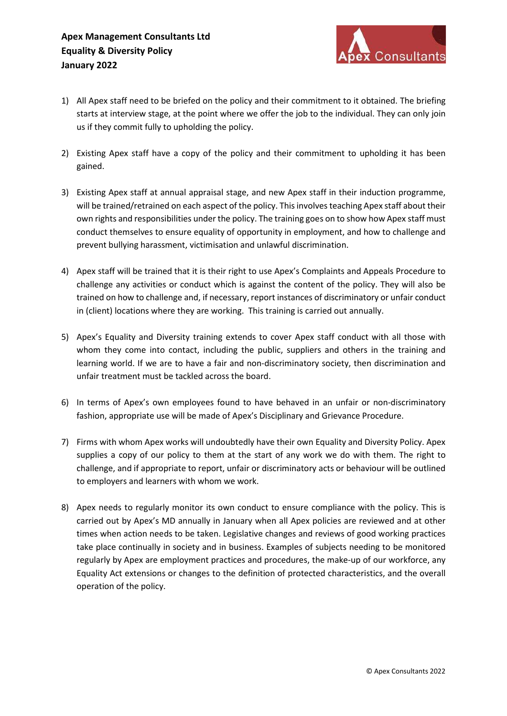

- 1) All Apex staff need to be briefed on the policy and their commitment to it obtained. The briefing starts at interview stage, at the point where we offer the job to the individual. They can only join us if they commit fully to upholding the policy.
- 2) Existing Apex staff have a copy of the policy and their commitment to upholding it has been gained.
- 3) Existing Apex staff at annual appraisal stage, and new Apex staff in their induction programme, will be trained/retrained on each aspect of the policy. This involves teaching Apex staff about their own rights and responsibilities under the policy. The training goes on to show how Apex staff must conduct themselves to ensure equality of opportunity in employment, and how to challenge and prevent bullying harassment, victimisation and unlawful discrimination.
- 4) Apex staff will be trained that it is their right to use Apex's Complaints and Appeals Procedure to challenge any activities or conduct which is against the content of the policy. They will also be trained on how to challenge and, if necessary, report instances of discriminatory or unfair conduct in (client) locations where they are working. This training is carried out annually.
- 5) Apex's Equality and Diversity training extends to cover Apex staff conduct with all those with whom they come into contact, including the public, suppliers and others in the training and learning world. If we are to have a fair and non-discriminatory society, then discrimination and unfair treatment must be tackled across the board.
- 6) In terms of Apex's own employees found to have behaved in an unfair or non-discriminatory fashion, appropriate use will be made of Apex's Disciplinary and Grievance Procedure.
- 7) Firms with whom Apex works will undoubtedly have their own Equality and Diversity Policy. Apex supplies a copy of our policy to them at the start of any work we do with them. The right to challenge, and if appropriate to report, unfair or discriminatory acts or behaviour will be outlined to employers and learners with whom we work.
- 8) Apex needs to regularly monitor its own conduct to ensure compliance with the policy. This is carried out by Apex's MD annually in January when all Apex policies are reviewed and at other times when action needs to be taken. Legislative changes and reviews of good working practices take place continually in society and in business. Examples of subjects needing to be monitored regularly by Apex are employment practices and procedures, the make-up of our workforce, any Equality Act extensions or changes to the definition of protected characteristics, and the overall operation of the policy.